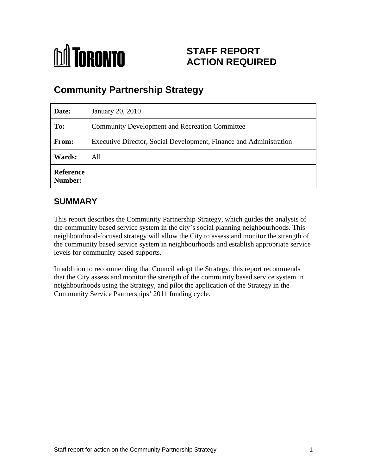# **M** TORONTO

# **STAFF REPORT ACTION REQUIRED**

# **Community Partnership Strategy**

| Date:                       | January 20, 2010                                                   |
|-----------------------------|--------------------------------------------------------------------|
| To:                         | Community Development and Recreation Committee                     |
| From:                       | Executive Director, Social Development, Finance and Administration |
| <b>Wards:</b>               | All                                                                |
| <b>Reference</b><br>Number: |                                                                    |

## **SUMMARY**

This report describes the Community Partnership Strategy, which guides the analysis of the community based service system in the city's social planning neighbourhoods. This neighbourhood-focused strategy will allow the City to assess and monitor the strength of the community based service system in neighbourhoods and establish appropriate service levels for community based supports.

In addition to recommending that Council adopt the Strategy, this report recommends that the City assess and monitor the strength of the community based service system in neighbourhoods using the Strategy, and pilot the application of the Strategy in the Community Service Partnerships' 2011 funding cycle.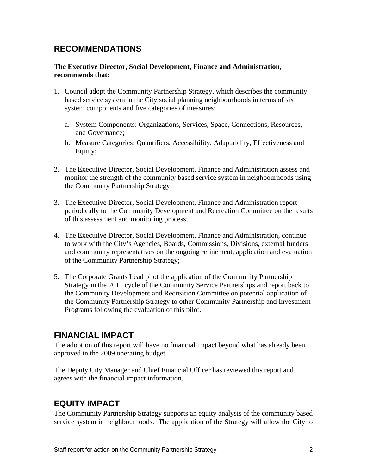## **RECOMMENDATIONS**

#### **The Executive Director, Social Development, Finance and Administration, recommends that:**

- 1. Council adopt the Community Partnership Strategy, which describes the community based service system in the City social planning neighbourhoods in terms of six system components and five categories of measures:
	- a. System Components: Organizations, Services, Space, Connections, Resources, and Governance;
	- b. Measure Categories: Quantifiers, Accessibility, Adaptability, Effectiveness and Equity;
- 2. The Executive Director, Social Development, Finance and Administration assess and monitor the strength of the community based service system in neighbourhoods using the Community Partnership Strategy;
- 3. The Executive Director, Social Development, Finance and Administration report periodically to the Community Development and Recreation Committee on the results of this assessment and monitoring process;
- 4. The Executive Director, Social Development, Finance and Administration, continue to work with the City's Agencies, Boards, Commissions, Divisions, external funders and community representatives on the ongoing refinement, application and evaluation of the Community Partnership Strategy;
- 5. The Corporate Grants Lead pilot the application of the Community Partnership Strategy in the 2011 cycle of the Community Service Partnerships and report back to the Community Development and Recreation Committee on potential application of the Community Partnership Strategy to other Community Partnership and Investment Programs following the evaluation of this pilot.

## **FINANCIAL IMPACT**

The adoption of this report will have no financial impact beyond what has already been approved in the 2009 operating budget.

The Deputy City Manager and Chief Financial Officer has reviewed this report and agrees with the financial impact information.

#### **EQUITY IMPACT**

The Community Partnership Strategy supports an equity analysis of the community based service system in neighbourhoods. The application of the Strategy will allow the City to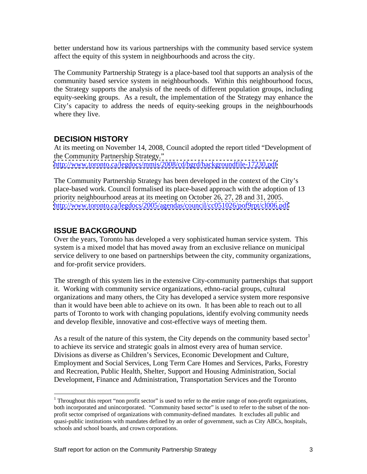better understand how its various partnerships with the community based service system affect the equity of this system in neighbourhoods and across the city.

The Community Partnership Strategy is a place-based tool that supports an analysis of the community based service system in neighbourhoods. Within this neighbourhood focus, the Strategy supports the analysis of the needs of different population groups, including equity-seeking groups. As a result, the implementation of the Strategy may enhance the City's capacity to address the needs of equity-seeking groups in the neighbourhoods where they live.

#### **DECISION HISTORY**

At its meeting on November 14, 2008, Council adopted the report titled "Development of the Community Partnership Strategy." <http://www.toronto.ca/legdocs/mmis/2008/cd/bgrd/backgroundfile-17230.pdf>

The Community Partnership Strategy has been developed in the context of the City's place-based work. Council formalised its place-based approach with the adoption of 13 priority neighbourhood areas at its meeting on October 26, 27, 28 and 31, 2005. <http://www.toronto.ca/legdocs/2005/agendas/council/cc051026/pof9rpt/cl006.pdf>

#### **ISSUE BACKGROUND**

Over the years, Toronto has developed a very sophisticated human service system. This system is a mixed model that has moved away from an exclusive reliance on municipal service delivery to one based on partnerships between the city, community organizations, and for-profit service providers.

The strength of this system lies in the extensive City-community partnerships that support it. Working with community service organizations, ethno-racial groups, cultural organizations and many others, the City has developed a service system more responsive than it would have been able to achieve on its own. It has been able to reach out to all parts of Toronto to work with changing populations, identify evolving community needs and develop flexible, innovative and cost-effective ways of meeting them.

As a result of the nature of this system, the City depends on the community based sector to achieve its service and strategic goals in almost every area of human service.<br>Divisions as diverse as Children's Services, Economic Development and Culture,<br>Employment and Social Services, Long Term Care Homes and Serv and Recreation, Public Health, Shelter, Support and Housing Administration, Social Development, Finance and Administration, Transportation Services and the Toronto

<sup>&</sup>lt;sup>1</sup> Throughout this report "non profit sector" is used to refer to the entire range of non-profit organizations, both incorporated and unincorporated. "Community based sector" is used to refer to the subset of the nonprofit sector comprised of organizations with community-defined mandates. It excludes all public and quasi-public institutions with mandates defined by an order of government, such as City ABCs, hospitals, schools and school boards, and crown corporations.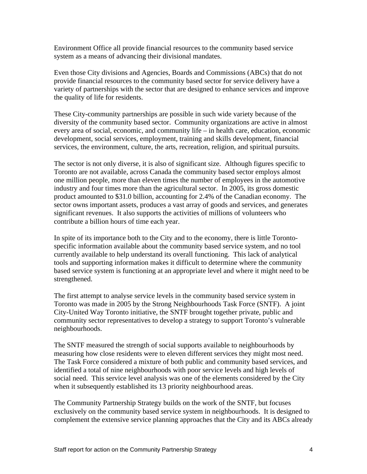Environment Office all provide financial resources to the community based service system as a means of advancing their divisional mandates.

Even those City divisions and Agencies, Boards and Commissions (ABCs) that do not provide financial resources to the community based sector for service delivery have a variety of partnerships with the sector that are designed to enhance services and improve the quality of life for residents.

These City-community partnerships are possible in such wide variety because of the diversity of the community based sector. Community organizations are active in almost every area of social, economic, and community life – in health care, education, economic development, social services, employment, training and skills development, financial services, the environment, culture, the arts, recreation, religion, and spiritual pursuits.

The sector is not only diverse, it is also of significant size. Although figures specific to Toronto are not available, across Canada the community based sector employs almost one million people, more than eleven times the number of employees in the automotive industry and four times more than the agricultural sector. In 2005, its gross domestic product amounted to \$31.0 billion, accounting for 2.4% of the Canadian economy. The sector owns important assets, produces a vast array of goods and services, and generates significant revenues. It also supports the activities of millions of volunteers who contribute a billion hours of time each year.

In spite of its importance both to the City and to the economy, there is little Toronto specific information available about the community based service system, and no tool currently available to help understand its overall functioning. This lack of analytical tools and supporting information makes it difficult to determine where the community based service system is functioning at an appropriate level and where it might need to be strengthened.

The first attempt to analyse service levels in the community based service system in Toronto was made in 2005 by the Strong Neighbourhoods Task Force (SNTF). A joint City-United Way Toronto initiative, the SNTF brought together private, public and community sector representatives to develop a strategy to support Toronto's vulnerable

neighbourhoods.<br>The SNTF measured the strength of social supports available to neighbourhoods by measuring how close residents were to eleven different services they might most need. The Task Force considered a mixture of both public and community based services, and identified a total of nine neighbourhoods with poor service levels and high levels of social need. This service level analysis was one of the elements considered by the City when it subsequently established its 13 priority neighbourhood areas.

The Community Partnership Strategy builds on the work of the SNTF, but focuses exclusively on the community based service system in neighbourhoods. It is designed to complement the extensive service planning approaches that the City and its ABCs already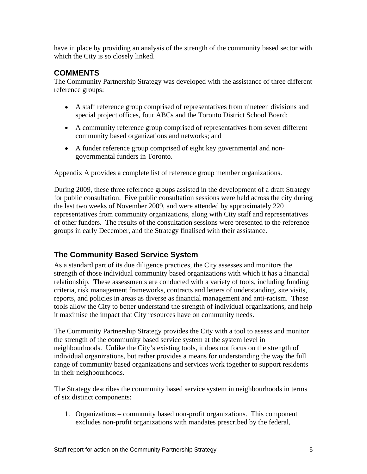have in place by providing an analysis of the strength of the community based sector with which the City is so closely linked.

#### **COMMENTS**

The Community Partnership Strategy was developed with the assistance of three different reference groups:

- A staff reference group comprised of representatives from nineteen divisions and special project offices, four ABCs and the Toronto District School Board;
- A community reference group comprised of representatives from seven different community based organizations and networks; and
- A funder reference group comprised of eight key governmental and non governmental funders in Toronto.

Appendix A provides a complete list of reference group member organizations.

During 2009, these three reference groups assisted in the development of a draft Strategy for public consultation. Five public consultation sessions were held across the city during the last two weeks of November 2009, and were attended by approximately 220 representatives from community organizations, along with City staff and representatives of other funders. The results of the consultation sessions were presented to the reference groups in early December, and the Strategy finalised with their assistance.

#### **The Community Based Service System**

As a standard part of its due diligence practices, the City assesses and monitors the strength of those individual community based organizations with which it has a financial relationship. These assessments are conducted with a variety of tools, including funding criteria, risk management frameworks, contracts and letters of understanding, site visits, reports, and policies in areas as diverse as financial management and anti-racism. These tools allow the City to better understand the strength of individual organizations, and help it maximise the impact that City resources have on community needs.

The Community Partnership Strategy provides the City with a tool to assess and monitor the strength of the community based service system at the system level in neighbourhoods. Unlike the City's existing tools, it does not focus on the strength of individual organizations, but rather provides a means for understanding the way the full range of community based organizations and services work together to support residents in their neighbourhoods.

The Strategy describes the community based service system in neighbourhoods in terms of six distinct components:

1. Organizations – community based non-profit organizations. This component excludes non-profit organizations with mandates prescribed by the federal,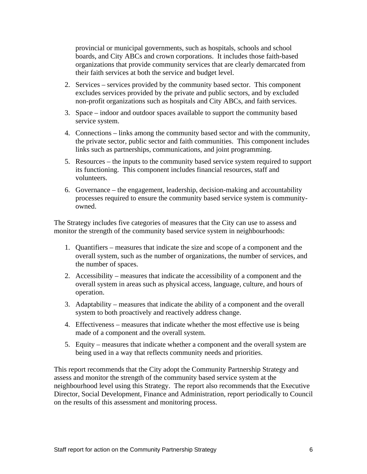provincial or municipal governments, such as hospitals, schools and school boards, and City ABCs and crown corporations. It includes those faith-based organizations that provide community services that are clearly demarcated from their faith services at both the service and budget level.

- 2. Services services provided by the community based sector. This component excludes services provided by the private and public sectors, and by excluded non-profit organizations such as hospitals and City ABCs, and faith services.
- 3. Space indoor and outdoor spaces available to support the community based service system.
- 4. Connections links among the community based sector and with the community, the private sector, public sector and faith communities. This component includes links such as partnerships, communications, and joint programming.
- 5. Resources the inputs to the community based service system required to support its functioning. This component includes financial resources, staff and volunteers.
- 6. Governance the engagement, leadership, decision-making and accountability processes required to ensure the community based service system is community owned.

The Strategy includes five categories of measures that the City can use to assess and monitor the strength of the community based service system in neighbourhoods:

- 1. Quantifiers measures that indicate the size and scope of a component and the overall system, such as the number of organizations, the number of services, and the number of spaces.
- 2. Accessibility measures that indicate the accessibility of a component and the overall system in areas such as physical access, language, culture, and hours of operation.<br>3. Adaptability – measures that indicate the ability of a component and the overall
- system to both proactively and reactively address change.
- 4. Effectiveness measures that indicate whether the most effective use is being made of a component and the overall system.
- 5. Equity measures that indicate whether a component and the overall system are being used in a way that reflects community needs and priorities.

This report recommends that the City adopt the Community Partnership Strategy and assess and monitor the strength of the community based service system at the neighbourhood level using this Strategy. The report also recommends that the Executive Director, Social Development, Finance and Administration, report periodically to Council on the results of this assessment and monitoring process.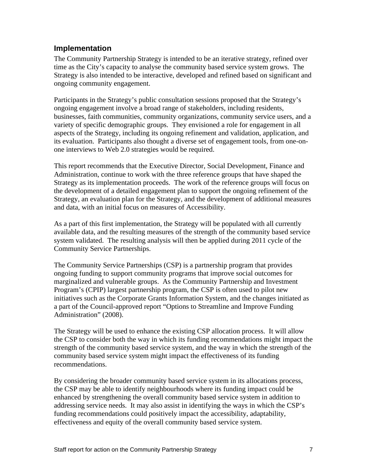#### **Implementation**

The Community Partnership Strategy is intended to be an iterative strategy, refined over time as the City's capacity to analyse the community based service system grows. The Strategy is also intended to be interactive, developed and refined based on significant and ongoing community engagement.

Participants in the Strategy's public consultation sessions proposed that the Strategy's ongoing engagement involve a broad range of stakeholders, including residents, businesses, faith communities, community organizations, community service users, and a variety of specific demographic groups. They envisioned a role for engagement in all aspects of the Strategy, including its ongoing refinement and validation, application, and its evaluation. Participants also thought a diverse set of engagement tools, from one-on one interviews to Web 2.0 strategies would be required.

This report recommends that the Executive Director, Social Development, Finance and Administration, continue to work with the three reference groups that have shaped the Strategy as its implementation proceeds. The work of the reference groups will focus on the development of a detailed engagement plan to support the ongoing refinement of the Strategy, an evaluation plan for the Strategy, and the development of additional measures and data, with an initial focus on measures of Accessibility. As a part of this first implementation, the Strategy will be populated with all currently

available data, and the resulting measures of the strength of the community based service system validated. The resulting analysis will then be applied during 2011 cycle of the Community Service Partnerships. The Community Service Partnerships (CSP) is a partnership program that provides

ongoing funding to support community programs that improve social outcomes for marginalized and vulnerable groups. As the Community Partnership and Investment Program's (CPIP) largest partnership program, the CSP is often used to pilot new initiatives such as the Corporate Grants Information System, and the changes initiated as a part of the Council-approved report "Options to Streamline and Improve Funding Administration" (2008).

The Strategy will be used to enhance the existing CSP allocation process. It will allow the CSP to consider both the way in which its funding recommendations might impact the strength of the community based service system, and the way in which the strength of the community based service system might impact the effectiveness of its funding recommendations.

By considering the broader community based service system in its allocations process, the CSP may be able to identify neighbourhoods where its funding impact could be enhanced by strengthening the overall community based service system in addition to addressing service needs. It may also assist in identifying the ways in which the CSP's funding recommendations could positively impact the accessibility, adaptability, effectiveness and equity of the overall community based service system.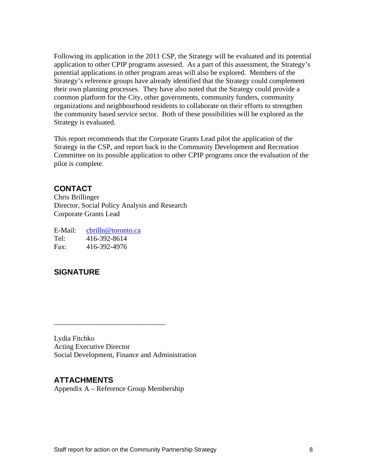Following its application in the 2011 CSP, the Strategy will be evaluated and its potential application to other CPIP programs assessed. As a part of this assessment, the Strategy's potential applications in other program areas will also be explored. Members of the Strategy's reference groups have already identified that the Strategy could complement their own planning processes. They have also noted that the Strategy could provide a common platform for the City, other governments, community funders, community organizations and neighbourhood residents to collaborate on their efforts to strengthen the community based service sector. Both of these possibilities will be explored as the Strategy is evaluated.

This report recommends that the Corporate Grants Lead pilot the application of the Strategy in the CSP, and report back to the Community Development and Recreation Committee on its possible application to other CPIP programs once the evaluation of the pilot is complete.

#### **CONTACT**

Chris Brillinger Director, Social Policy Analysis and Research Corporate Grants Lead

E-Mail: chilln@toronto.ca enterprise and contract the contract of the contract of the contract of the contract of the contract of the contract of the contract of the contract of the contract of the contract of the contract Tel: 416-392-8614 Fax: 416-392-4976

#### **SIGNATURE**

Lydia Fitchko Acting Executive Director Social Development, Finance and Administration

#### **ATTACHMENTS**

Appendix A – Reference Group Membership

 $\overline{\phantom{a}}$  , we are the contract of the contract of the contract of the contract of the contract of the contract of the contract of the contract of the contract of the contract of the contract of the contract of the cont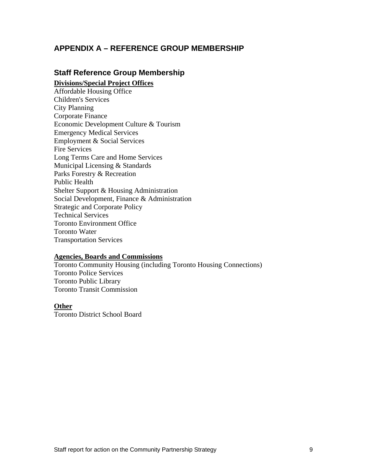#### **APPENDIX A – REFERENCE GROUP MEMBERSHIP**

## **Staff Reference Group Membership**

**Divisions/Special Project Offices**

Affordable Housing Office Children's Services City Planning Corporate Finance Economic Development Culture & Tourism Emergency Medical Services Employment & Social Services Fire Services Long Terms Care and Home Services Municipal Licensing & Standards Parks Forestry & Recreation Public Health **Public Health** Shelter Support & Housing Administration Social Development, Finance & Administration Strategic and Corporate Policy Technical Services Toronto Environment Office Toronto Water Transportation Services

#### **Agencies, Boards and Commissions**

Toronto Community Housing (including Toronto Housing Connections) Toronto Police Services Toronto Public Library Toronto Transit Commission

#### **Other**

Toronto District School Board